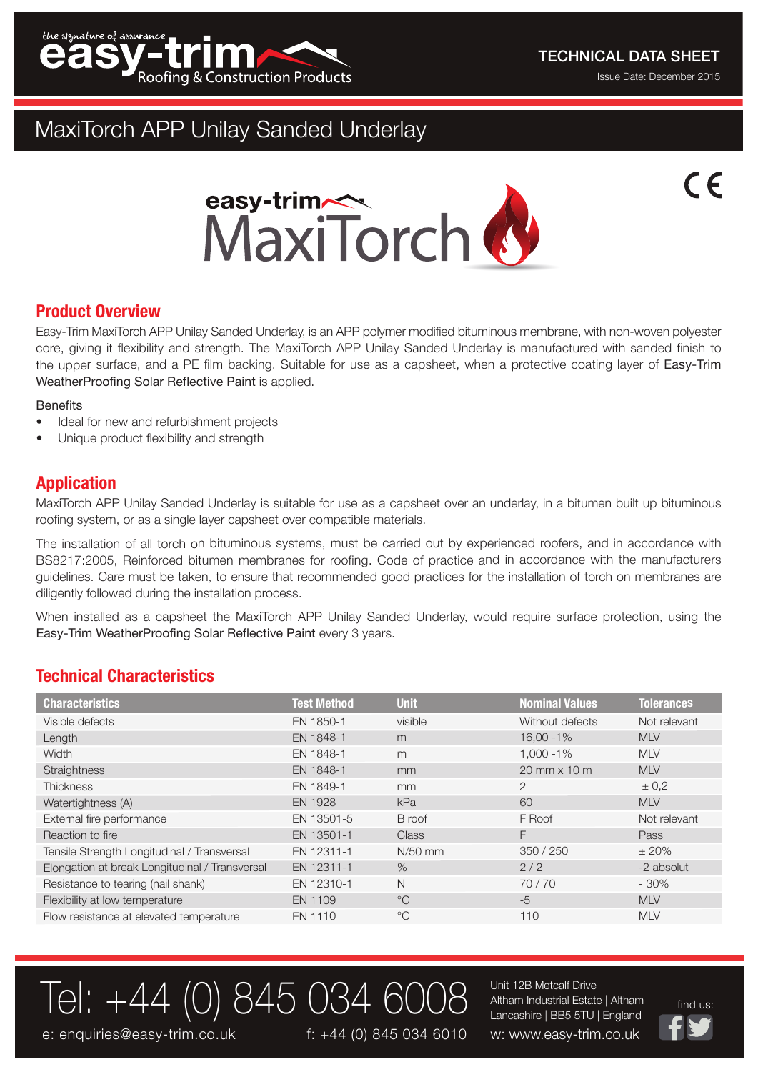

 $\epsilon$ 

# MaxiTorch APP Unilay Sanded Underlay



## **Product Overview**

Easy-Trim MaxiTorch APP Unilay Sanded Underlay, is an APP polymer modified bituminous membrane, with non-woven polyester core, giving it flexibility and strength. The MaxiTorch APP Unilay Sanded Underlay is manufactured with sanded finish to the upper surface, and <sup>a</sup> PE film backing. Suitable for use as <sup>a</sup> capsheet, when <sup>a</sup> protective coating layer of Easy-Trim WeatherProofing Solar Reflective Paint is applied.

### **Benefits**

- •Ideal for new and refurbishment projects
- •Unique product flexibility and strength

## **Application**

MaxiTorch APP Unilay Sanded Underlay is suitable for use as <sup>a</sup> capsheet over an underlay, in <sup>a</sup> bitumen built up bituminous roofing system, or as <sup>a</sup> single layer capsheet over compatible materials.

The installation of all torch on bituminous systems, must be carried out by experienced roofers, and in accordance with BS8217:2005, Reinforced bitumen membranes for roofing. Code of practice and in accordance with the manufacturers guidelines. Care must be taken, to ensure that recommended good practices for the installation of torch on membranes are diligently followed during the installation process.

When installed as <sup>a</sup> capsheet the MaxiTorch APP Unilay Sanded Underlay, would require surface protection, using the Easy-Trim WeatherProofing Solar Reflective Paint every 3 years.

# **Technical Characteristics**

| <b>Characteristics</b>                         | <b>Test Method</b> | <b>Unit</b>   | <b>Nominal Values</b> | <b>Tolerances</b> |
|------------------------------------------------|--------------------|---------------|-----------------------|-------------------|
| Visible defects                                | EN 1850-1          | visible       | Without defects       | Not relevant      |
| Length                                         | EN 1848-1          | m             | $16,00 - 1%$          | <b>MLV</b>        |
| Width                                          | EN 1848-1          | m             | $1.000 - 1\%$         | <b>MLV</b>        |
| Straightness                                   | EN 1848-1          | mm            | $20$ mm $\times$ 10 m | <b>MLV</b>        |
| <b>Thickness</b>                               | EN 1849-1          | <sub>mm</sub> | 2                     | $\pm 0.2$         |
| Watertightness (A)                             | <b>EN 1928</b>     | kPa           | 60                    | <b>MLV</b>        |
| External fire performance                      | EN 13501-5         | B roof        | F Roof                | Not relevant      |
| Reaction to fire                               | EN 13501-1         | <b>Class</b>  | F.                    | Pass              |
| Tensile Strength Longitudinal / Transversal    | EN 12311-1         | $N/50$ mm     | 350 / 250             | $\pm 20\%$        |
| Elongation at break Longitudinal / Transversal | EN 12311-1         | $\%$          | 2/2                   | -2 absolut        |
| Resistance to tearing (nail shank)             | EN 12310-1         | N             | 70/70                 | $-30%$            |
| Flexibility at low temperature                 | EN 1109            | $^{\circ}C$   | $-5$                  | <b>MLV</b>        |
| Flow resistance at elevated temperature        | EN 1110            | $^{\circ}$ C  | 110                   | <b>MLV</b>        |

 $\overline{\text{Te}}$ : +44 (0) 845 034 6008 Altham Industrial Estate | Altham  $\overline{\text{Int}}$  and us: Unit 12B Metcalf Drive Altham Industrial Estate | Altham Lancashire | BB5 5TU | England



e: enquiries@easy-trim.co.uk f: +44 (0) 845 034 6010 w: www.easy-trim.co.uk